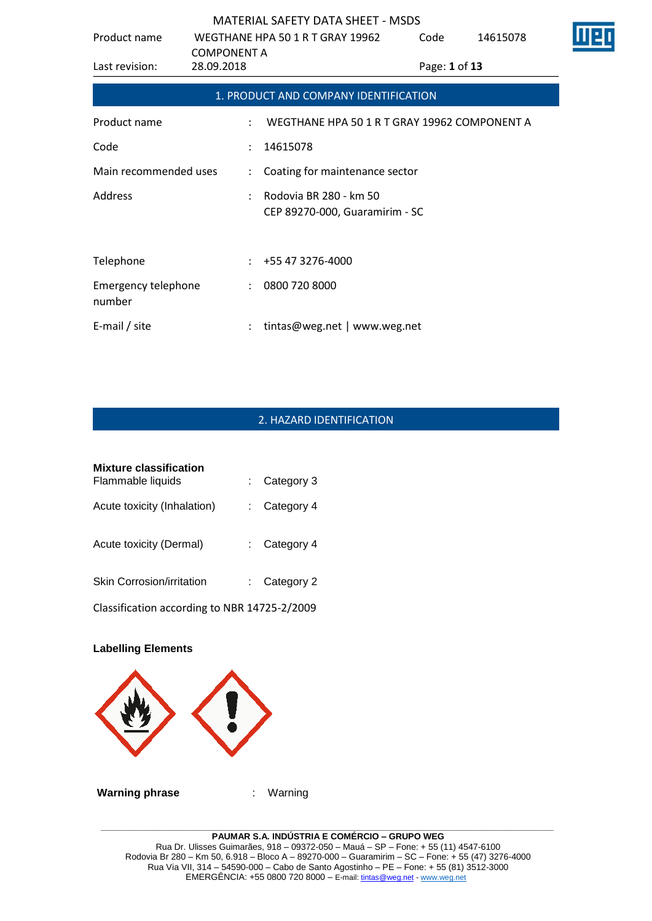| Product name                         | <b>COMPONENT A</b>   | WEGTHANE HPA 50 1 R T GRAY 19962                         | Code          | 14615078 | Ш |
|--------------------------------------|----------------------|----------------------------------------------------------|---------------|----------|---|
| Last revision:                       | 28.09.2018           |                                                          | Page: 1 of 13 |          |   |
|                                      |                      | 1. PRODUCT AND COMPANY IDENTIFICATION                    |               |          |   |
| Product name                         |                      | WEGTHANE HPA 50 1 R T GRAY 19962 COMPONENT A             |               |          |   |
| Code                                 |                      | 14615078                                                 |               |          |   |
| Main recommended uses                |                      | Coating for maintenance sector                           |               |          |   |
| Address                              |                      | Rodovia BR 280 - km 50<br>CEP 89270-000, Guaramirim - SC |               |          |   |
| Telephone                            |                      | +55 47 3276-4000                                         |               |          |   |
| <b>Emergency telephone</b><br>number | $\ddot{\phantom{a}}$ | 0800 720 8000                                            |               |          |   |
| E-mail / site                        |                      | tintas@weg.net   www.weg.net                             |               |          |   |

# 2. HAZARD IDENTIFICATION

| <b>Mixture classification</b><br>Flammable liquids | Category 3 |
|----------------------------------------------------|------------|
| Acute toxicity (Inhalation)                        | Category 4 |
| Acute toxicity (Dermal)                            | Category 4 |
| <b>Skin Corrosion/irritation</b>                   | Category 2 |
| Classification according to NBR 14725-2/2009       |            |

# **Labelling Elements**



**\_\_\_\_\_\_\_\_\_\_\_\_\_\_\_\_\_\_\_\_\_\_\_\_\_\_\_\_\_\_\_\_\_\_\_\_\_\_\_\_\_\_\_\_\_\_\_\_\_\_\_\_\_\_\_\_\_\_\_\_\_\_\_\_\_\_\_\_\_\_\_\_\_\_\_\_\_\_\_\_\_\_\_\_\_\_\_\_\_\_\_\_\_ PAUMAR S.A. INDÚSTRIA E COMÉRCIO – GRUPO WEG** Rua Dr. Ulisses Guimarães, 918 – 09372-050 – Mauá – SP – Fone: + 55 (11) 4547-6100 Rodovia Br 280 – Km 50, 6.918 – Bloco A – 89270-000 – Guaramirim – SC – Fone: + 55 (47) 3276-4000 Rua Via VII, 314 – 54590-000 – Cabo de Santo Agostinho – PE – Fone: + 55 (81) 3512-3000 EMERGËNCIA: +55 0800 720 8000 – E-mail[: tintas@weg.net](mailto:tintas@weg.net) - [www.weg.net](http://www.weg.net/)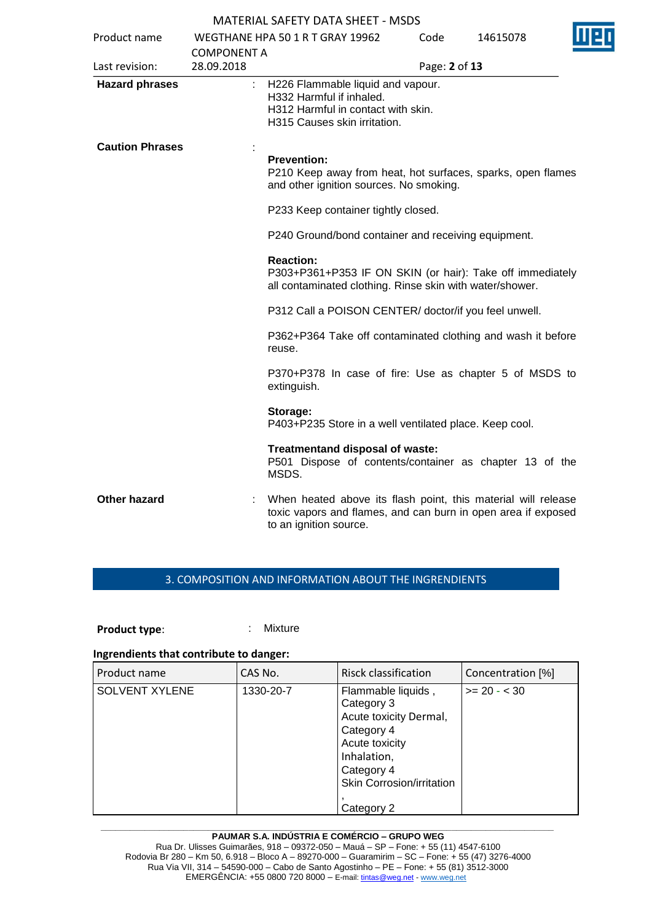| Product name           |                                  | WEGTHANE HPA 50 1 R T GRAY 19962                                                                                                                         | Code          | 14615078 | ШΕ |  |
|------------------------|----------------------------------|----------------------------------------------------------------------------------------------------------------------------------------------------------|---------------|----------|----|--|
| Last revision:         | <b>COMPONENT A</b><br>28.09.2018 |                                                                                                                                                          | Page: 2 of 13 |          |    |  |
| <b>Hazard phrases</b>  |                                  | H226 Flammable liquid and vapour.<br>H332 Harmful if inhaled.<br>H312 Harmful in contact with skin.<br>H315 Causes skin irritation.                      |               |          |    |  |
| <b>Caution Phrases</b> |                                  | <b>Prevention:</b><br>P210 Keep away from heat, hot surfaces, sparks, open flames<br>and other ignition sources. No smoking.                             |               |          |    |  |
|                        |                                  | P233 Keep container tightly closed.                                                                                                                      |               |          |    |  |
|                        |                                  | P240 Ground/bond container and receiving equipment.                                                                                                      |               |          |    |  |
|                        |                                  | <b>Reaction:</b><br>P303+P361+P353 IF ON SKIN (or hair): Take off immediately<br>all contaminated clothing. Rinse skin with water/shower.                |               |          |    |  |
|                        |                                  | P312 Call a POISON CENTER/doctor/if you feel unwell.                                                                                                     |               |          |    |  |
|                        |                                  | P362+P364 Take off contaminated clothing and wash it before<br>reuse.                                                                                    |               |          |    |  |
|                        |                                  | P370+P378 In case of fire: Use as chapter 5 of MSDS to<br>extinguish.                                                                                    |               |          |    |  |
|                        |                                  | Storage:<br>P403+P235 Store in a well ventilated place. Keep cool.                                                                                       |               |          |    |  |
|                        |                                  | Treatmentand disposal of waste:<br>P501 Dispose of contents/container as chapter 13 of the<br>MSDS.                                                      |               |          |    |  |
| <b>Other hazard</b>    |                                  | When heated above its flash point, this material will release<br>toxic vapors and flames, and can burn in open area if exposed<br>to an ignition source. |               |          |    |  |

# 3. COMPOSITION AND INFORMATION ABOUT THE INGRENDIENTS

## **Product type:** : Mixture

#### **Ingrendients that contribute to danger:**

| Product name          | CAS No.   | Risck classification                                                                                                                                               | Concentration [%] |
|-----------------------|-----------|--------------------------------------------------------------------------------------------------------------------------------------------------------------------|-------------------|
| <b>SOLVENT XYLENE</b> | 1330-20-7 | Flammable liquids,<br>Category 3<br>Acute toxicity Dermal,<br>Category 4<br>Acute toxicity<br>Inhalation,<br>Category 4<br>Skin Corrosion/irritation<br>Category 2 | $>= 20 - 30$      |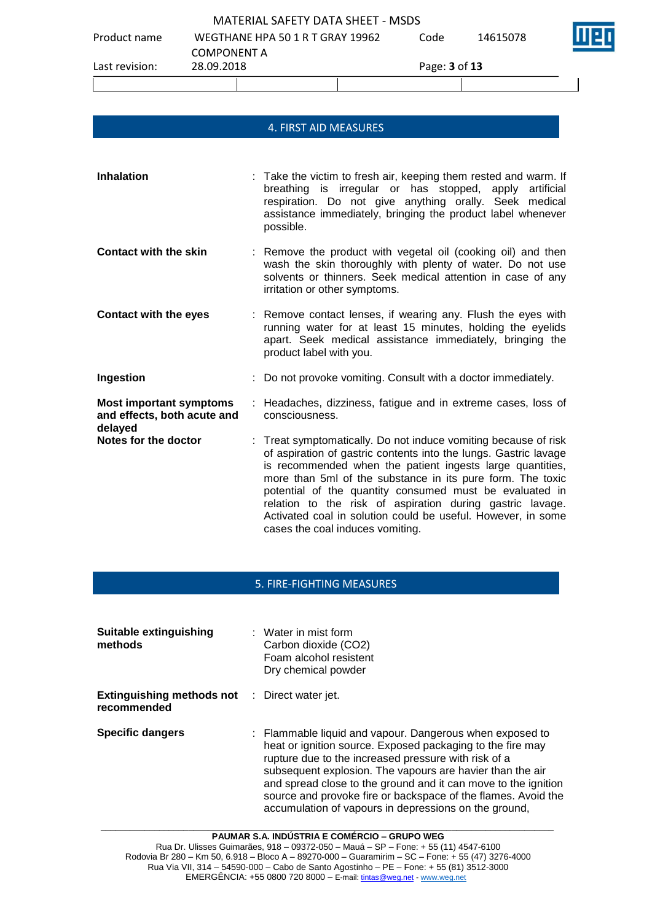Product name WEGTHANE HPA 50 1 R T GRAY 19962 COMPONENT A Code 14615078 Last revision: 28.09.2018 Page: **3** of **13**

## 4. FIRST AID MEASURES

**Inhalation** : Take the victim to fresh air, keeping them rested and warm. If breathing is irregular or has stopped, apply artificial respiration. Do not give anything orally. Seek medical assistance immediately, bringing the product label whenever possible. **Contact with the skin** : Remove the product with vegetal oil (cooking oil) and then wash the skin thoroughly with plenty of water. Do not use solvents or thinners. Seek medical attention in case of any irritation or other symptoms. **Contact with the eyes** : Remove contact lenses, if wearing any. Flush the eyes with running water for at least 15 minutes, holding the eyelids apart. Seek medical assistance immediately, bringing the product label with you. **Ingestion investion** : Do not provoke vomiting. Consult with a doctor immediately. **Most important symptoms and effects, both acute and delayed** : Headaches, dizziness, fatigue and in extreme cases, loss of consciousness.

**Notes for the doctor** : Treat symptomatically. Do not induce vomiting because of risk of aspiration of gastric contents into the lungs. Gastric lavage is recommended when the patient ingests large quantities, more than 5ml of the substance in its pure form. The toxic potential of the quantity consumed must be evaluated in relation to the risk of aspiration during gastric lavage. Activated coal in solution could be useful. However, in some cases the coal induces vomiting.

## 5. FIRE-FIGHTING MEASURES

| <b>Suitable extinguishing</b><br>methods                            | $\therefore$ Water in mist form<br>Carbon dioxide (CO2)<br>Foam alcohol resistent<br>Dry chemical powder                                                                                                                                                                                                                                                                                                                                |
|---------------------------------------------------------------------|-----------------------------------------------------------------------------------------------------------------------------------------------------------------------------------------------------------------------------------------------------------------------------------------------------------------------------------------------------------------------------------------------------------------------------------------|
| <b>Extinguishing methods not</b> : Direct water jet.<br>recommended |                                                                                                                                                                                                                                                                                                                                                                                                                                         |
| <b>Specific dangers</b>                                             | : Flammable liquid and vapour. Dangerous when exposed to<br>heat or ignition source. Exposed packaging to the fire may<br>rupture due to the increased pressure with risk of a<br>subsequent explosion. The vapours are havier than the air<br>and spread close to the ground and it can move to the ignition<br>source and provoke fire or backspace of the flames. Avoid the<br>accumulation of vapours in depressions on the ground, |

**PAUMAR S.A. INDÚSTRIA E COMÉRCIO – GRUPO WEG** Rua Dr. Ulisses Guimarães, 918 – 09372-050 – Mauá – SP – Fone: + 55 (11) 4547-6100 Rodovia Br 280 – Km 50, 6.918 – Bloco A – 89270-000 – Guaramirim – SC – Fone: + 55 (47) 3276-4000 Rua Via VII, 314 – 54590-000 – Cabo de Santo Agostinho – PE – Fone: + 55 (81) 3512-3000 EMERGÊNCIA: +55 0800 720 8000 – E-mail[: tintas@weg.net](mailto:tintas@weg.net) - [www.weg.net](http://www.weg.net/)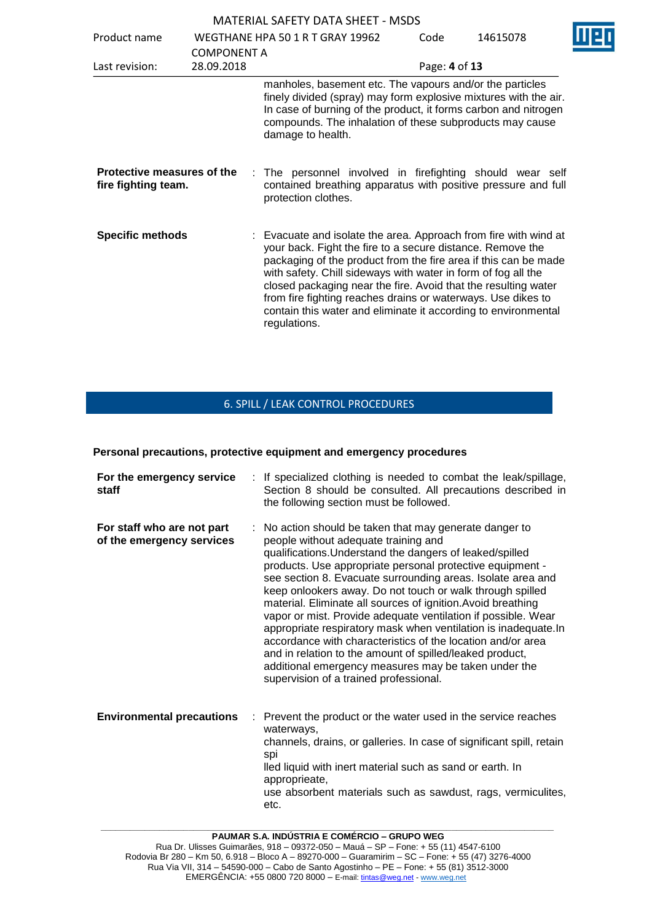| Product name                                      | <b>COMPONENT A</b>                                                                                                                                                                                                                                                               | WEGTHANE HPA 50 1 R T GRAY 19962                                                                                                                                                                                                                                                                                                                                                                                                                                                       | Code          | 14615078 |  |
|---------------------------------------------------|----------------------------------------------------------------------------------------------------------------------------------------------------------------------------------------------------------------------------------------------------------------------------------|----------------------------------------------------------------------------------------------------------------------------------------------------------------------------------------------------------------------------------------------------------------------------------------------------------------------------------------------------------------------------------------------------------------------------------------------------------------------------------------|---------------|----------|--|
| Last revision:                                    | 28.09.2018                                                                                                                                                                                                                                                                       |                                                                                                                                                                                                                                                                                                                                                                                                                                                                                        | Page: 4 of 13 |          |  |
|                                                   | manholes, basement etc. The vapours and/or the particles<br>finely divided (spray) may form explosive mixtures with the air.<br>In case of burning of the product, it forms carbon and nitrogen<br>compounds. The inhalation of these subproducts may cause<br>damage to health. |                                                                                                                                                                                                                                                                                                                                                                                                                                                                                        |               |          |  |
| Protective measures of the<br>fire fighting team. |                                                                                                                                                                                                                                                                                  | : The personnel involved in firefighting should wear self<br>contained breathing apparatus with positive pressure and full<br>protection clothes.                                                                                                                                                                                                                                                                                                                                      |               |          |  |
| <b>Specific methods</b>                           |                                                                                                                                                                                                                                                                                  | : Evacuate and isolate the area. Approach from fire with wind at<br>your back. Fight the fire to a secure distance. Remove the<br>packaging of the product from the fire area if this can be made<br>with safety. Chill sideways with water in form of fog all the<br>closed packaging near the fire. Avoid that the resulting water<br>from fire fighting reaches drains or waterways. Use dikes to<br>contain this water and eliminate it according to environmental<br>regulations. |               |          |  |

# 6. SPILL / LEAK CONTROL PROCEDURES

#### **Personal precautions, protective equipment and emergency procedures**

| For the emergency service<br>staff                      | : If specialized clothing is needed to combat the leak/spillage,<br>Section 8 should be consulted. All precautions described in<br>the following section must be followed.                                                                                                                                                                                                                                                                                                                                                                                                                                                                                                                                                                                                          |
|---------------------------------------------------------|-------------------------------------------------------------------------------------------------------------------------------------------------------------------------------------------------------------------------------------------------------------------------------------------------------------------------------------------------------------------------------------------------------------------------------------------------------------------------------------------------------------------------------------------------------------------------------------------------------------------------------------------------------------------------------------------------------------------------------------------------------------------------------------|
| For staff who are not part<br>of the emergency services | No action should be taken that may generate danger to<br>people without adequate training and<br>qualifications. Understand the dangers of leaked/spilled<br>products. Use appropriate personal protective equipment -<br>see section 8. Evacuate surrounding areas. Isolate area and<br>keep onlookers away. Do not touch or walk through spilled<br>material. Eliminate all sources of ignition. Avoid breathing<br>vapor or mist. Provide adequate ventilation if possible. Wear<br>appropriate respiratory mask when ventilation is inadequate. In<br>accordance with characteristics of the location and/or area<br>and in relation to the amount of spilled/leaked product,<br>additional emergency measures may be taken under the<br>supervision of a trained professional. |
| <b>Environmental precautions</b><br>÷.                  | Prevent the product or the water used in the service reaches<br>waterways,<br>channels, drains, or galleries. In case of significant spill, retain<br>spi<br>lled liquid with inert material such as sand or earth. In<br>approprieate,<br>use absorbent materials such as sawdust, rags, vermiculites,<br>etc.                                                                                                                                                                                                                                                                                                                                                                                                                                                                     |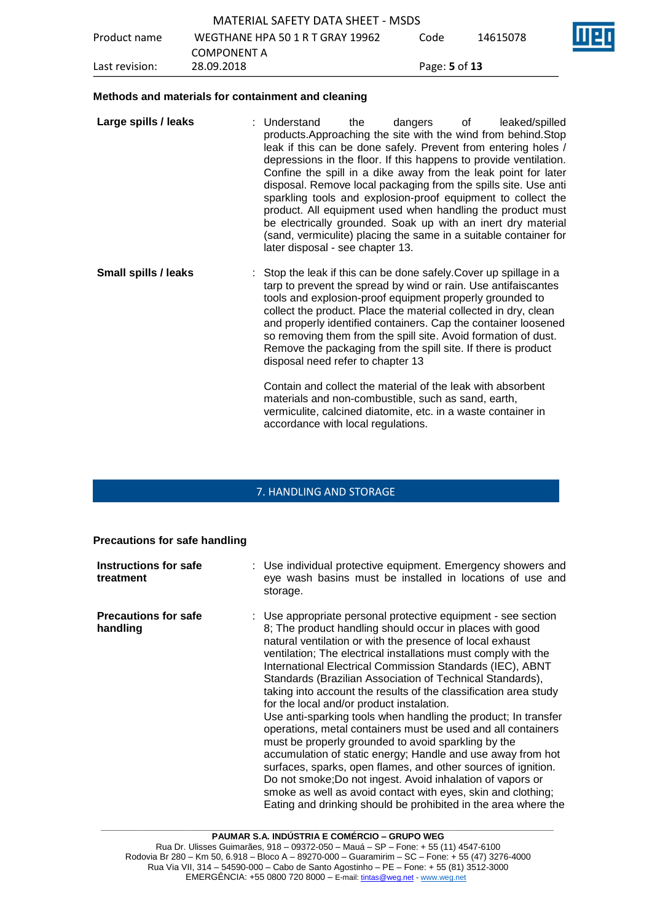| Last revision: | 28.09.2018                        | Page: 5 of 13 |          |     |
|----------------|-----------------------------------|---------------|----------|-----|
|                | <b>COMPONENT A</b>                |               |          |     |
| Product name   | WEGTHANE HPA 50 1 R T GRAY 19962  | Code          | 14615078 | ine |
|                | MATERIAL SAFETY DATA SHEET - MSDS |               |          |     |

#### **Methods and materials for containment and cleaning**

| Large spills / leaks | : Understand<br>products. Approaching the site with the wind from behind. Stop<br>leak if this can be done safely. Prevent from entering holes /<br>depressions in the floor. If this happens to provide ventilation.<br>Confine the spill in a dike away from the leak point for later<br>disposal. Remove local packaging from the spills site. Use anti<br>sparkling tools and explosion-proof equipment to collect the<br>product. All equipment used when handling the product must<br>be electrically grounded. Soak up with an inert dry material<br>later disposal - see chapter 13. | the | dangers | of | leaked/spilled<br>(sand, vermiculite) placing the same in a suitable container for |
|----------------------|----------------------------------------------------------------------------------------------------------------------------------------------------------------------------------------------------------------------------------------------------------------------------------------------------------------------------------------------------------------------------------------------------------------------------------------------------------------------------------------------------------------------------------------------------------------------------------------------|-----|---------|----|------------------------------------------------------------------------------------|
| Small enille / laake | Stop the look if this can be deno safely Cover up spillage in a                                                                                                                                                                                                                                                                                                                                                                                                                                                                                                                              |     |         |    |                                                                                    |

**Small spills / leaks** : Stop the leak if this can be done safely.Cover up spillage in a tarp to prevent the spread by wind or rain. Use antifaiscantes tools and explosion-proof equipment properly grounded to collect the product. Place the material collected in dry, clean and properly identified containers. Cap the container loosened so removing them from the spill site. Avoid formation of dust. Remove the packaging from the spill site. If there is product disposal need refer to chapter 13

> Contain and collect the material of the leak with absorbent materials and non-combustible, such as sand, earth, vermiculite, calcined diatomite, etc. in a waste container in accordance with local regulations.

## 7. HANDLING AND STORAGE

#### **Precautions for safe handling**

| Instructions for safe<br>treatment      | : Use individual protective equipment. Emergency showers and<br>eye wash basins must be installed in locations of use and<br>storage.                                                                                                                                                                                                                                                                                                                                                                                                                                                                                                                                                                                                                                                                                                                                                                                                                                                                                        |
|-----------------------------------------|------------------------------------------------------------------------------------------------------------------------------------------------------------------------------------------------------------------------------------------------------------------------------------------------------------------------------------------------------------------------------------------------------------------------------------------------------------------------------------------------------------------------------------------------------------------------------------------------------------------------------------------------------------------------------------------------------------------------------------------------------------------------------------------------------------------------------------------------------------------------------------------------------------------------------------------------------------------------------------------------------------------------------|
| <b>Precautions for safe</b><br>handling | : Use appropriate personal protective equipment - see section<br>8; The product handling should occur in places with good<br>natural ventilation or with the presence of local exhaust<br>ventilation; The electrical installations must comply with the<br>International Electrical Commission Standards (IEC), ABNT<br>Standards (Brazilian Association of Technical Standards),<br>taking into account the results of the classification area study<br>for the local and/or product instalation.<br>Use anti-sparking tools when handling the product; In transfer<br>operations, metal containers must be used and all containers<br>must be properly grounded to avoid sparkling by the<br>accumulation of static energy; Handle and use away from hot<br>surfaces, sparks, open flames, and other sources of ignition.<br>Do not smoke; Do not ingest. Avoid inhalation of vapors or<br>smoke as well as avoid contact with eyes, skin and clothing;<br>Eating and drinking should be prohibited in the area where the |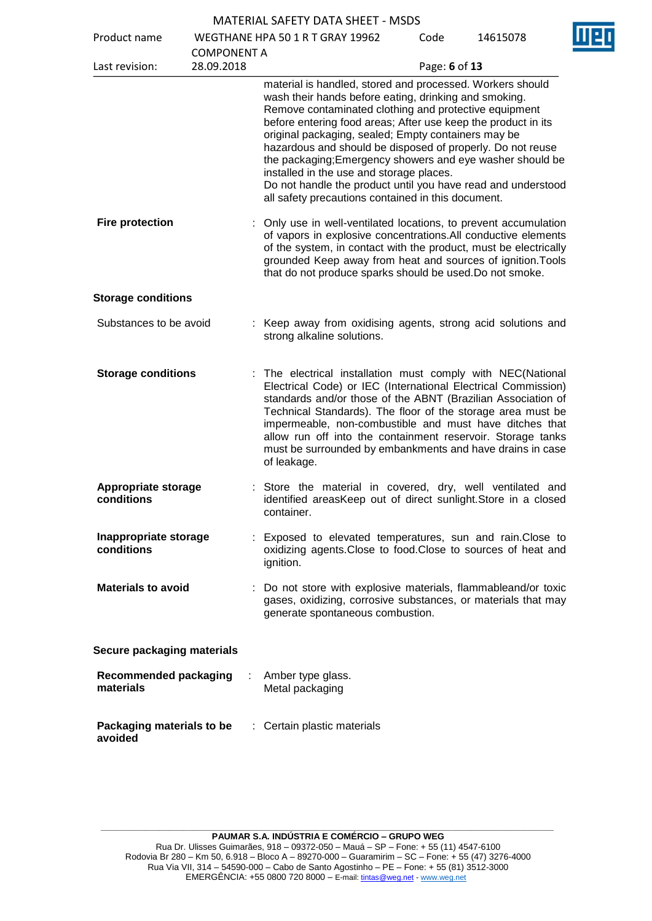|                                           |                                  | MATENIAL SAFETT DATA SHEET - MSDS                                                                                                                                                                                                                                                                                                                                                                                                                                                                                                                                                                |               |          |
|-------------------------------------------|----------------------------------|--------------------------------------------------------------------------------------------------------------------------------------------------------------------------------------------------------------------------------------------------------------------------------------------------------------------------------------------------------------------------------------------------------------------------------------------------------------------------------------------------------------------------------------------------------------------------------------------------|---------------|----------|
| Product name                              |                                  | WEGTHANE HPA 50 1 R T GRAY 19962                                                                                                                                                                                                                                                                                                                                                                                                                                                                                                                                                                 | Code          | 14615078 |
| Last revision:                            | <b>COMPONENT A</b><br>28.09.2018 |                                                                                                                                                                                                                                                                                                                                                                                                                                                                                                                                                                                                  | Page: 6 of 13 |          |
|                                           |                                  | material is handled, stored and processed. Workers should<br>wash their hands before eating, drinking and smoking.<br>Remove contaminated clothing and protective equipment<br>before entering food areas; After use keep the product in its<br>original packaging, sealed; Empty containers may be<br>hazardous and should be disposed of properly. Do not reuse<br>the packaging; Emergency showers and eye washer should be<br>installed in the use and storage places.<br>Do not handle the product until you have read and understood<br>all safety precautions contained in this document. |               |          |
| <b>Fire protection</b>                    |                                  | Only use in well-ventilated locations, to prevent accumulation<br>of vapors in explosive concentrations. All conductive elements<br>of the system, in contact with the product, must be electrically<br>grounded Keep away from heat and sources of ignition. Tools<br>that do not produce sparks should be used. Do not smoke.                                                                                                                                                                                                                                                                  |               |          |
| <b>Storage conditions</b>                 |                                  |                                                                                                                                                                                                                                                                                                                                                                                                                                                                                                                                                                                                  |               |          |
| Substances to be avoid                    |                                  | : Keep away from oxidising agents, strong acid solutions and<br>strong alkaline solutions.                                                                                                                                                                                                                                                                                                                                                                                                                                                                                                       |               |          |
| <b>Storage conditions</b>                 |                                  | The electrical installation must comply with NEC(National<br>Electrical Code) or IEC (International Electrical Commission)<br>standards and/or those of the ABNT (Brazilian Association of<br>Technical Standards). The floor of the storage area must be<br>impermeable, non-combustible and must have ditches that<br>allow run off into the containment reservoir. Storage tanks<br>must be surrounded by embankments and have drains in case<br>of leakage.                                                                                                                                  |               |          |
| Appropriate storage<br>conditions         |                                  | Store the material in covered, dry, well ventilated and<br>identified areasKeep out of direct sunlight. Store in a closed<br>container.                                                                                                                                                                                                                                                                                                                                                                                                                                                          |               |          |
| Inappropriate storage<br>conditions       |                                  | Exposed to elevated temperatures, sun and rain. Close to<br>oxidizing agents. Close to food. Close to sources of heat and<br>ignition.                                                                                                                                                                                                                                                                                                                                                                                                                                                           |               |          |
| <b>Materials to avoid</b>                 |                                  | Do not store with explosive materials, flammableand/or toxic<br>gases, oxidizing, corrosive substances, or materials that may<br>generate spontaneous combustion.                                                                                                                                                                                                                                                                                                                                                                                                                                |               |          |
| Secure packaging materials                |                                  |                                                                                                                                                                                                                                                                                                                                                                                                                                                                                                                                                                                                  |               |          |
| <b>Recommended packaging</b><br>materials |                                  | Amber type glass.<br>Metal packaging                                                                                                                                                                                                                                                                                                                                                                                                                                                                                                                                                             |               |          |
| Packaging materials to be<br>avoided      |                                  | : Certain plastic materials                                                                                                                                                                                                                                                                                                                                                                                                                                                                                                                                                                      |               |          |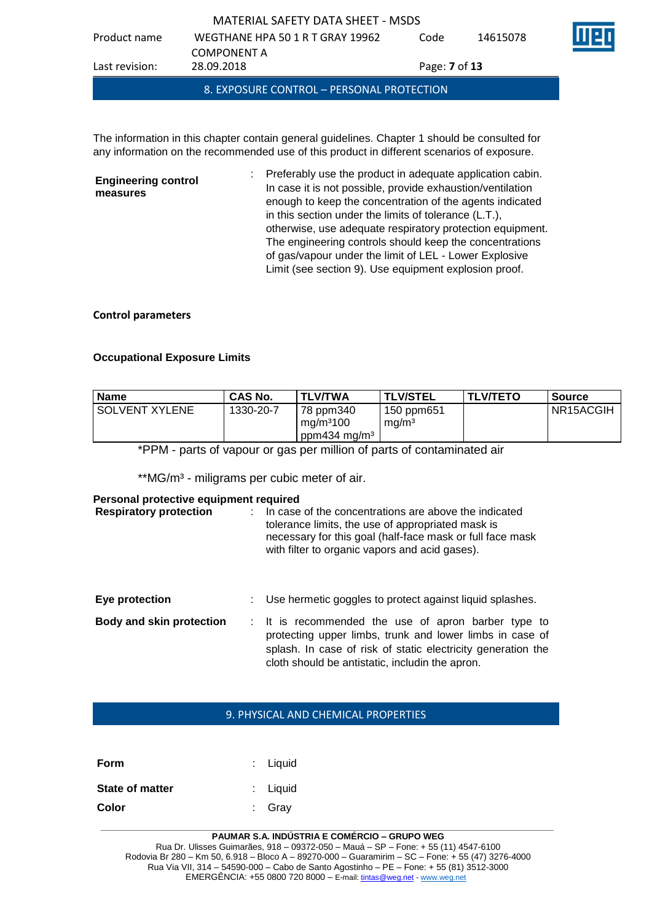| 8. EXPOSURE CONTROL - PERSONAL PROTECTION |                                  |                             |          |  |  |
|-------------------------------------------|----------------------------------|-----------------------------|----------|--|--|
| Last revision:                            | 28.09.2018                       | Page: <b>7</b> of <b>13</b> |          |  |  |
|                                           | <b>COMPONENT A</b>               |                             |          |  |  |
| Product name                              | WEGTHANE HPA 50 1 R T GRAY 19962 | Code                        | 14615078 |  |  |
| MATERIAL SAFETY DATA SHEET - MSDS         |                                  |                             |          |  |  |

The information in this chapter contain general guidelines. Chapter 1 should be consulted for any information on the recommended use of this product in different scenarios of exposure.

**Engineering control measures** : Preferably use the product in adequate application cabin. In case it is not possible, provide exhaustion/ventilation enough to keep the concentration of the agents indicated in this section under the limits of tolerance (L.T.), otherwise, use adequate respiratory protection equipment. The engineering controls should keep the concentrations of gas/vapour under the limit of LEL - Lower Explosive Limit (see section 9). Use equipment explosion proof.

## **Control parameters**

## **Occupational Exposure Limits**

| <b>Name</b>      | <b>CAS No.</b> | TLV/TWA                                                                      | <b>TLV/STEL</b>                 | <b>TLV/TETO</b> | Source    |
|------------------|----------------|------------------------------------------------------------------------------|---------------------------------|-----------------|-----------|
| I SOLVENT XYLENE | 1330-20-7      | <b>78 ppm340</b><br>$\mid$ mg/m <sup>3</sup> 100<br>ppm434 mg/m <sup>3</sup> | 150 ppm651<br>ma/m <sup>3</sup> |                 | NR15ACGIH |

\*PPM - parts of vapour or gas per million of parts of contaminated air

\*\*MG/m<sup>3</sup> - miligrams per cubic meter of air.

### **Personal protective equipment required**

| <b>Respiratory protection</b>   | In case of the concentrations are above the indicated<br>tolerance limits, the use of appropriated mask is<br>necessary for this goal (half-face mask or full face mask<br>with filter to organic vapors and acid gases). |
|---------------------------------|---------------------------------------------------------------------------------------------------------------------------------------------------------------------------------------------------------------------------|
| Eye protection                  | Use hermetic goggles to protect against liquid splashes.                                                                                                                                                                  |
| <b>Body and skin protection</b> | : It is recommended the use of apron barber type to<br>protecting upper limbs, trunk and lower limbs in case of<br>splash. In case of risk of static electricity generation the                                           |

# 9. PHYSICAL AND CHEMICAL PROPERTIES

cloth should be antistatic, includin the apron.

| Form                   | $:$ Liquid          |
|------------------------|---------------------|
| <b>State of matter</b> | $\therefore$ Liquid |
| Color                  | : Grav              |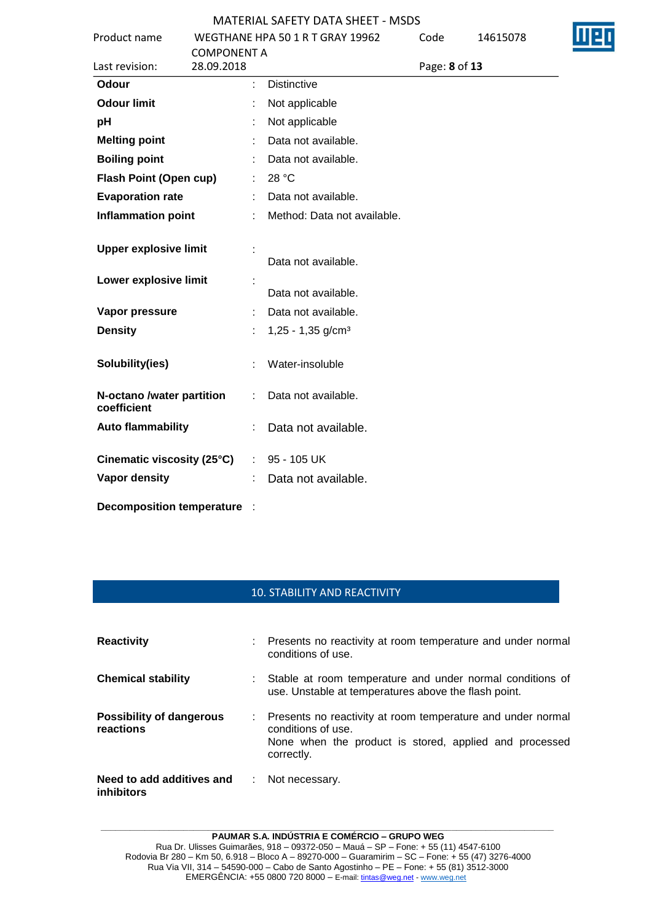| Product name                             |                                  | WEGTHANE HPA 50 1 R T GRAY 19962 | Code          | 14615078 |  |
|------------------------------------------|----------------------------------|----------------------------------|---------------|----------|--|
| Last revision:                           | <b>COMPONENT A</b><br>28.09.2018 |                                  | Page: 8 of 13 |          |  |
| Odour                                    | ÷                                | <b>Distinctive</b>               |               |          |  |
| <b>Odour limit</b>                       |                                  | Not applicable                   |               |          |  |
| pH                                       |                                  | Not applicable                   |               |          |  |
| <b>Melting point</b>                     |                                  | Data not available.              |               |          |  |
| <b>Boiling point</b>                     |                                  | Data not available.              |               |          |  |
| Flash Point (Open cup)                   | ÷                                | 28 °C                            |               |          |  |
| <b>Evaporation rate</b>                  |                                  | Data not available.              |               |          |  |
| <b>Inflammation point</b>                |                                  | Method: Data not available.      |               |          |  |
| <b>Upper explosive limit</b>             |                                  | Data not available.              |               |          |  |
| Lower explosive limit                    |                                  | Data not available.              |               |          |  |
| Vapor pressure                           |                                  | Data not available.              |               |          |  |
| <b>Density</b>                           |                                  | $1,25 - 1,35$ g/cm <sup>3</sup>  |               |          |  |
| Solubility(ies)                          |                                  | Water-insoluble                  |               |          |  |
| N-octano /water partition<br>coefficient |                                  | Data not available.              |               |          |  |
| <b>Auto flammability</b>                 |                                  | Data not available.              |               |          |  |
| Cinematic viscosity (25°C)               | $\mathbb{Z}^{\times}$            | 95 - 105 UK                      |               |          |  |
| Vapor density                            |                                  | Data not available.              |               |          |  |
| <b>Decomposition temperature</b>         |                                  |                                  |               |          |  |

# 10. STABILITY AND REACTIVITY

| <b>Reactivity</b>                              |               | : Presents no reactivity at room temperature and under normal<br>conditions of use.                                                                         |
|------------------------------------------------|---------------|-------------------------------------------------------------------------------------------------------------------------------------------------------------|
| <b>Chemical stability</b>                      |               | Stable at room temperature and under normal conditions of<br>use. Unstable at temperatures above the flash point.                                           |
| <b>Possibility of dangerous</b><br>reactions   |               | : Presents no reactivity at room temperature and under normal<br>conditions of use.<br>None when the product is stored, applied and processed<br>correctly. |
| Need to add additives and<br><i>inhibitors</i> | $\mathcal{L}$ | Not necessary.                                                                                                                                              |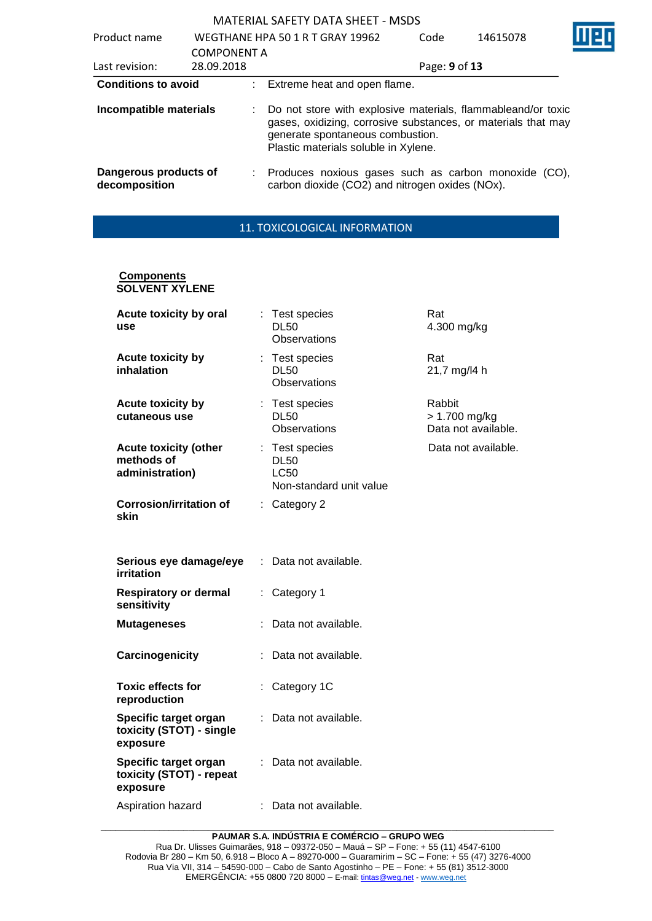| Product name                           |                                  |    | WEGTHANE HPA 50 1 R T GRAY 19962                                                                                                                                                                          |               | 14615078 |  |
|----------------------------------------|----------------------------------|----|-----------------------------------------------------------------------------------------------------------------------------------------------------------------------------------------------------------|---------------|----------|--|
| Last revision:                         | <b>COMPONENT A</b><br>28.09.2018 |    |                                                                                                                                                                                                           | Page: 9 of 13 |          |  |
| <b>Conditions to avoid</b>             |                                  |    | : Extreme heat and open flame.                                                                                                                                                                            |               |          |  |
| Incompatible materials                 |                                  | ÷. | Do not store with explosive materials, flammableand/or toxic<br>gases, oxidizing, corrosive substances, or materials that may<br>generate spontaneous combustion.<br>Plastic materials soluble in Xylene. |               |          |  |
| Dangerous products of<br>decomposition |                                  | ÷. | Produces noxious gases such as carbon monoxide (CO),<br>carbon dioxide (CO2) and nitrogen oxides (NOx).                                                                                                   |               |          |  |

# 11. TOXICOLOGICAL INFORMATION

#### **Components SOLVENT XYLENE**

| Acute toxicity by oral<br>use                                 |    | : Test species<br>DL50<br>Observations                                  | Rat<br>4.300 mg/kg                             |
|---------------------------------------------------------------|----|-------------------------------------------------------------------------|------------------------------------------------|
| Acute toxicity by<br>inhalation                               |    | : Test species<br><b>DL50</b><br>Observations                           | Rat<br>21,7 mg/l4 h                            |
| <b>Acute toxicity by</b><br>cutaneous use                     |    | : Test species<br><b>DL50</b><br><b>Observations</b>                    | Rabbit<br>> 1.700 mg/kg<br>Data not available. |
| <b>Acute toxicity (other</b><br>methods of<br>administration) |    | : Test species<br><b>DL50</b><br><b>LC50</b><br>Non-standard unit value | Data not available.                            |
| <b>Corrosion/irritation of</b><br>skin                        | t. | Category 2                                                              |                                                |
| Serious eye damage/eye<br>irritation                          | ÷. | Data not available.                                                     |                                                |
| <b>Respiratory or dermal</b><br>sensitivity                   |    | Category 1                                                              |                                                |
| <b>Mutageneses</b>                                            |    | Data not available.                                                     |                                                |
| Carcinogenicity                                               |    | Data not available.                                                     |                                                |
| <b>Toxic effects for</b><br>reproduction                      |    | Category 1C                                                             |                                                |
| Specific target organ<br>toxicity (STOT) - single<br>exposure |    | Data not available.                                                     |                                                |
| Specific target organ<br>toxicity (STOT) - repeat<br>exposure |    | Data not available.                                                     |                                                |
| Aspiration hazard                                             |    | Data not available.                                                     |                                                |

**\_\_\_\_\_\_\_\_\_\_\_\_\_\_\_\_\_\_\_\_\_\_\_\_\_\_\_\_\_\_\_\_\_\_\_\_\_\_\_\_\_\_\_\_\_\_\_\_\_\_\_\_\_\_\_\_\_\_\_\_\_\_\_\_\_\_\_\_\_\_\_\_\_\_\_\_\_\_\_\_\_\_\_\_\_\_\_\_\_\_\_\_\_ PAUMAR S.A. INDÚSTRIA E COMÉRCIO – GRUPO WEG**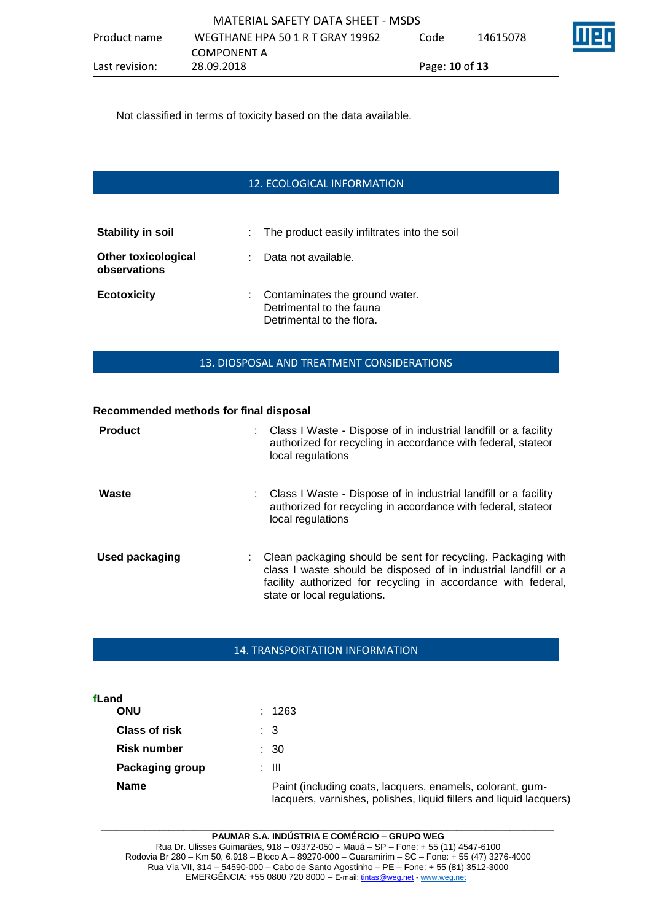Not classified in terms of toxicity based on the data available.

# 12. ECOLOGICAL INFORMATION

| <b>Stability in soil</b>                   |    | : The product easily infiltrates into the soil                                            |
|--------------------------------------------|----|-------------------------------------------------------------------------------------------|
| <b>Other toxicological</b><br>observations | t. | Data not available.                                                                       |
| <b>Ecotoxicity</b>                         |    | : Contaminates the ground water.<br>Detrimental to the fauna<br>Detrimental to the flora. |

#### 13. DIOSPOSAL AND TREATMENT CONSIDERATIONS

#### **Recommended methods for final disposal**

| <b>Product</b> | : Class I Waste - Dispose of in industrial landfill or a facility<br>authorized for recycling in accordance with federal, stateor<br>local regulations                                                                          |
|----------------|---------------------------------------------------------------------------------------------------------------------------------------------------------------------------------------------------------------------------------|
| Waste          | : Class I Waste - Dispose of in industrial landfill or a facility<br>authorized for recycling in accordance with federal, stateor<br>local regulations                                                                          |
| Used packaging | Clean packaging should be sent for recycling. Packaging with<br>class I waste should be disposed of in industrial landfill or a<br>facility authorized for recycling in accordance with federal,<br>state or local regulations. |

#### 14. TRANSPORTATION INFORMATION

| fLand                |                                                                                                                                 |
|----------------------|---------------------------------------------------------------------------------------------------------------------------------|
| ONU                  | : 1263                                                                                                                          |
| <b>Class of risk</b> | : 3                                                                                                                             |
| <b>Risk number</b>   | $\therefore$ 30                                                                                                                 |
| Packaging group      | : III                                                                                                                           |
| <b>Name</b>          | Paint (including coats, lacquers, enamels, colorant, gum-<br>lacquers, varnishes, polishes, liquid fillers and liquid lacquers) |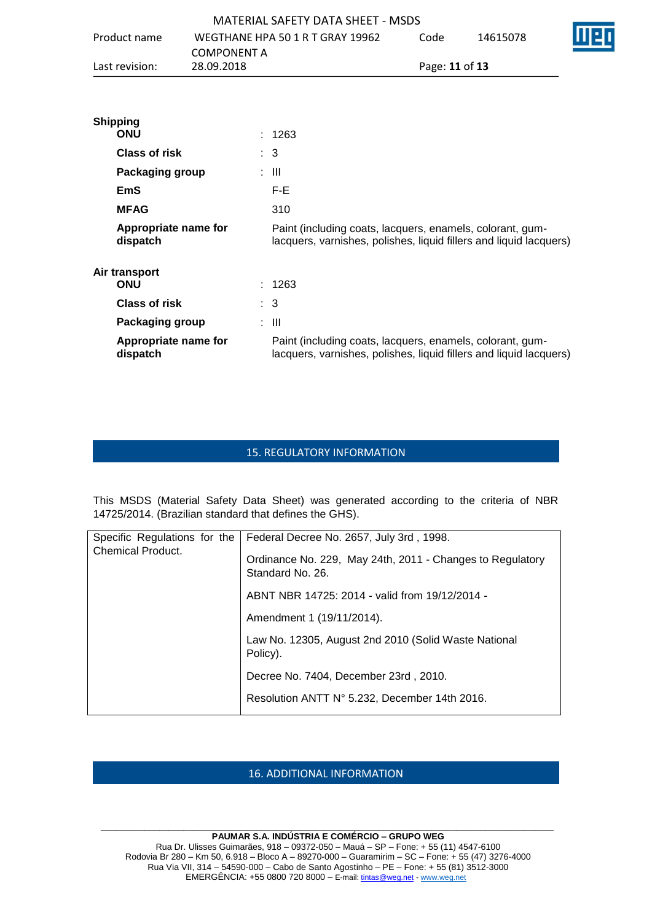|                                                                    |                                  |  |                | MATERIAL SAFETY DATA SHEFT - MSDS |      |                                                                                                                                 |  |
|--------------------------------------------------------------------|----------------------------------|--|----------------|-----------------------------------|------|---------------------------------------------------------------------------------------------------------------------------------|--|
| Product name<br><b>COMPONENT A</b><br>28.09.2018<br>Last revision: |                                  |  |                | WEGTHANE HPA 50 1 R T GRAY 19962  | Code | 14615078                                                                                                                        |  |
|                                                                    |                                  |  |                |                                   |      | Page: 11 of 13                                                                                                                  |  |
|                                                                    | <b>Shipping</b><br><b>ONU</b>    |  | : 1263         |                                   |      |                                                                                                                                 |  |
|                                                                    | <b>Class of risk</b>             |  | $\therefore$ 3 |                                   |      |                                                                                                                                 |  |
|                                                                    | Packaging group                  |  | : III          |                                   |      |                                                                                                                                 |  |
|                                                                    | <b>EmS</b>                       |  | F-E            |                                   |      |                                                                                                                                 |  |
|                                                                    | <b>MFAG</b>                      |  | 310            |                                   |      |                                                                                                                                 |  |
|                                                                    | Appropriate name for<br>dispatch |  |                |                                   |      | Paint (including coats, lacquers, enamels, colorant, gum-<br>lacquers, varnishes, polishes, liquid fillers and liquid lacquers) |  |
|                                                                    | Air transport<br><b>ONU</b>      |  | : 1263         |                                   |      |                                                                                                                                 |  |
|                                                                    | <b>Class of risk</b>             |  | $\therefore$ 3 |                                   |      |                                                                                                                                 |  |
|                                                                    | Packaging group                  |  | : III          |                                   |      |                                                                                                                                 |  |
|                                                                    | Appropriate name for<br>dispatch |  |                |                                   |      | Paint (including coats, lacquers, enamels, colorant, gum-<br>lacquers, varnishes, polishes, liquid fillers and liquid lacquers) |  |

## 15. REGULATORY INFORMATION

This MSDS (Material Safety Data Sheet) was generated according to the criteria of NBR 14725/2014. (Brazilian standard that defines the GHS).

| Specific Regulations for the<br><b>Chemical Product.</b> | Federal Decree No. 2657, July 3rd, 1998.                                      |
|----------------------------------------------------------|-------------------------------------------------------------------------------|
|                                                          | Ordinance No. 229, May 24th, 2011 - Changes to Regulatory<br>Standard No. 26. |
|                                                          | ABNT NBR 14725: 2014 - valid from 19/12/2014 -                                |
|                                                          | Amendment 1 (19/11/2014).                                                     |
|                                                          | Law No. 12305, August 2nd 2010 (Solid Waste National<br>Policy).              |
|                                                          | Decree No. 7404, December 23rd, 2010.                                         |
|                                                          | Resolution ANTT N° 5.232, December 14th 2016.                                 |

# 16. ADDITIONAL INFORMATION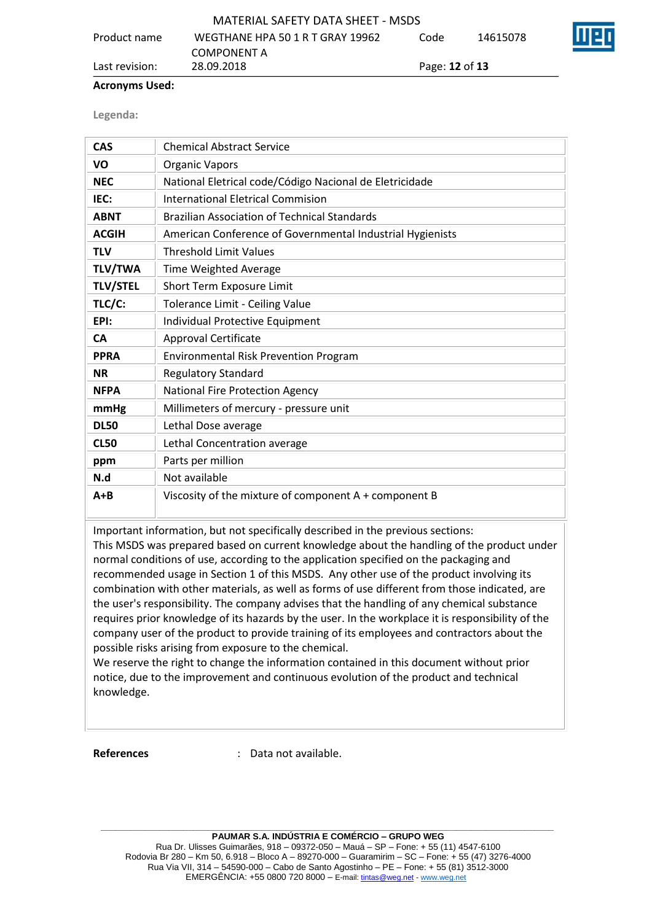| Last revision: | 28.09.2018                        | Page: <b>12</b> of <b>13</b> |          |      |
|----------------|-----------------------------------|------------------------------|----------|------|
|                | <b>COMPONENT A</b>                |                              |          |      |
| Product name   | WEGTHANE HPA 50 1 R T GRAY 19962  | Code                         | 14615078 | INEI |
|                | MATERIAL SAFETY DATA SHEET - MSDS |                              |          |      |

#### **Acronyms Used:**

**Legenda:**

| <b>CAS</b>      | <b>Chemical Abstract Service</b>                          |
|-----------------|-----------------------------------------------------------|
| VO              | <b>Organic Vapors</b>                                     |
| <b>NEC</b>      | National Eletrical code/Código Nacional de Eletricidade   |
| IEC:            | International Eletrical Commision                         |
| <b>ABNT</b>     | <b>Brazilian Association of Technical Standards</b>       |
| <b>ACGIH</b>    | American Conference of Governmental Industrial Hygienists |
| <b>TLV</b>      | <b>Threshold Limit Values</b>                             |
| <b>TLV/TWA</b>  | Time Weighted Average                                     |
| <b>TLV/STEL</b> | Short Term Exposure Limit                                 |
| TLC/C:          | Tolerance Limit - Ceiling Value                           |
| EPI:            | Individual Protective Equipment                           |
| <b>CA</b>       | <b>Approval Certificate</b>                               |
| <b>PPRA</b>     | <b>Environmental Risk Prevention Program</b>              |
| <b>NR</b>       | <b>Regulatory Standard</b>                                |
| <b>NFPA</b>     | <b>National Fire Protection Agency</b>                    |
| mmHg            | Millimeters of mercury - pressure unit                    |
| <b>DL50</b>     | Lethal Dose average                                       |
| <b>CL50</b>     | Lethal Concentration average                              |
| ppm             | Parts per million                                         |
| N.d             | Not available                                             |
| $A + B$         | Viscosity of the mixture of component A + component B     |

Important information, but not specifically described in the previous sections:

This MSDS was prepared based on current knowledge about the handling of the product under normal conditions of use, according to the application specified on the packaging and recommended usage in Section 1 of this MSDS. Any other use of the product involving its combination with other materials, as well as forms of use different from those indicated, are the user's responsibility. The company advises that the handling of any chemical substance requires prior knowledge of its hazards by the user. In the workplace it is responsibility of the company user of the product to provide training of its employees and contractors about the possible risks arising from exposure to the chemical.

We reserve the right to change the information contained in this document without prior notice, due to the improvement and continuous evolution of the product and technical knowledge.

**References** : Data not available.